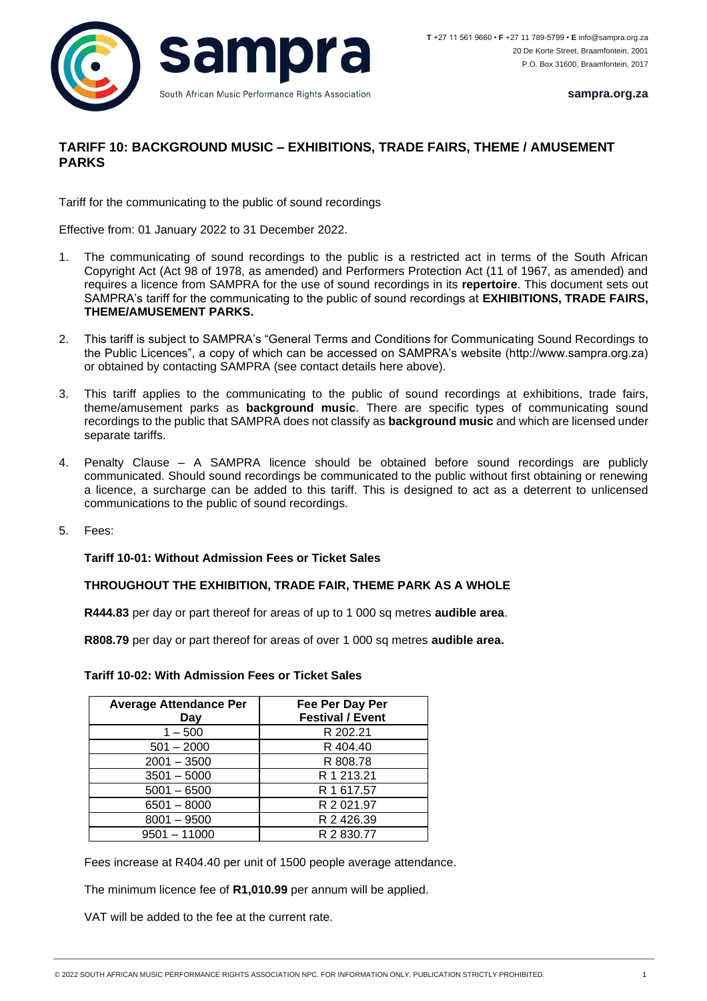

**sampra.org.za**

## **TARIFF 10: BACKGROUND MUSIC – EXHIBITIONS, TRADE FAIRS, THEME / AMUSEMENT PARKS**

Tariff for the communicating to the public of sound recordings

Effective from: 01 January 2022 to 31 December 2022.

- 1. The communicating of sound recordings to the public is a restricted act in terms of the South African Copyright Act (Act 98 of 1978, as amended) and Performers Protection Act (11 of 1967, as amended) and requires a licence from SAMPRA for the use of sound recordings in its **repertoire**. This document sets out SAMPRA's tariff for the communicating to the public of sound recordings at **EXHIBITIONS, TRADE FAIRS, THEME/AMUSEMENT PARKS.**
- 2. This tariff is subject to SAMPRA's "General Terms and Conditions for Communicating Sound Recordings to the Public Licences", a copy of which can be accessed on SAMPRA's website (http://www.sampra.org.za) or obtained by contacting SAMPRA (see contact details here above).
- 3. This tariff applies to the communicating to the public of sound recordings at exhibitions, trade fairs, theme/amusement parks as **background music**. There are specific types of communicating sound recordings to the public that SAMPRA does not classify as **background music** and which are licensed under separate tariffs.
- 4. Penalty Clause A SAMPRA licence should be obtained before sound recordings are publicly communicated. Should sound recordings be communicated to the public without first obtaining or renewing a licence, a surcharge can be added to this tariff. This is designed to act as a deterrent to unlicensed communications to the public of sound recordings.
- 5. Fees:

## **Tariff 10-01: Without Admission Fees or Ticket Sales**

## **THROUGHOUT THE EXHIBITION, TRADE FAIR, THEME PARK AS A WHOLE**

**R444.83** per day or part thereof for areas of up to 1 000 sq metres **audible area**.

**R808.79** per day or part thereof for areas of over 1 000 sq metres **audible area.**

| <b>Tariff 10-02: With Admission Fees or Ticket Sales</b> |  |
|----------------------------------------------------------|--|
|----------------------------------------------------------|--|

| <b>Average Attendance Per</b><br>Day | Fee Per Day Per<br><b>Festival / Event</b> |
|--------------------------------------|--------------------------------------------|
| $1 - 500$                            | R 202.21                                   |
| $501 - 2000$                         | R 404.40                                   |
| $2001 - 3500$                        | R 808.78                                   |
| $3501 - 5000$                        | R 1 213.21                                 |
| $5001 - 6500$                        | R 1 617.57                                 |
| $6501 - 8000$                        | R 2 021.97                                 |
| $8001 - 9500$                        | R 2 426.39                                 |
| $9501 - 11000$                       | R 2 830.77                                 |

Fees increase at R404.40 per unit of 1500 people average attendance.

The minimum licence fee of **R1,010.99** per annum will be applied.

VAT will be added to the fee at the current rate.